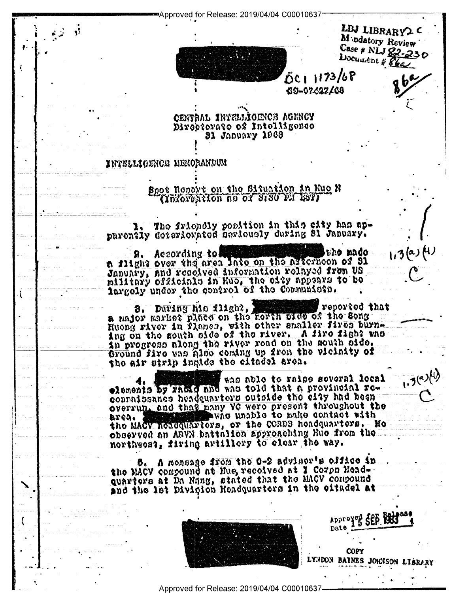Approved for Release: 2019/04/04 C00010637\*



LBJ LIBRARY2 C Madatory Review Case # NLJ 82-230 Document # 86a

 $1,3(2, 1)$ 

 $1.3^{(a)}$ 

DC1 1173/68 69-07422/68

CENTRAL INTELLIOENCE AGENCY Divebtorate to estroite on **31 January 1968** 

## intellioence menorandun

ۇ.<br>ئۆرى

## Spot Roport on the Situation in Huo N (Yuxoyuxton as of 8180 P.T 18T)

The friendly position in this city has apparently deteriorated beriously during 31 January.

eno mado 8. According to異 n flight over the area late on the axternoon of 31 pilitary officials in Hug, the eigh appears to be largely under the control of the Communicate.

p bostoger and the state of the city of the constant and some and series of the constant and the series of the reported that Ruong river in Tlamen, with other smaller fires burnang on the south side of the river. A fire fight who an progress along the river road on the south side. Ground five was also coming up from the vicinity of the air strip ingide the citadel area.

who able to raise several local elements by radio who told that a provincial row connaissance headquartors outside the city had been overrup, and that many VC were present throughout the who washed to make contact with area. I the MACV hosequariors, or the CORDS hoadquarters. He observed on ARVN battelion approaching Rue from the northwest, firing artillory to olear the way.

5. A mossage from the O-2 adviser's effice in the MACV compound at Mue recoived at I Corpo Head. quarters at Da Nang, stated that the MACV compound and the let Divigion Headquarters in the eitadel at



Approved SEP REC Date **COPY** LYNDON BAINES JOHNSON LIBRARY

Approved for Release: 2019/04/04 C00010637